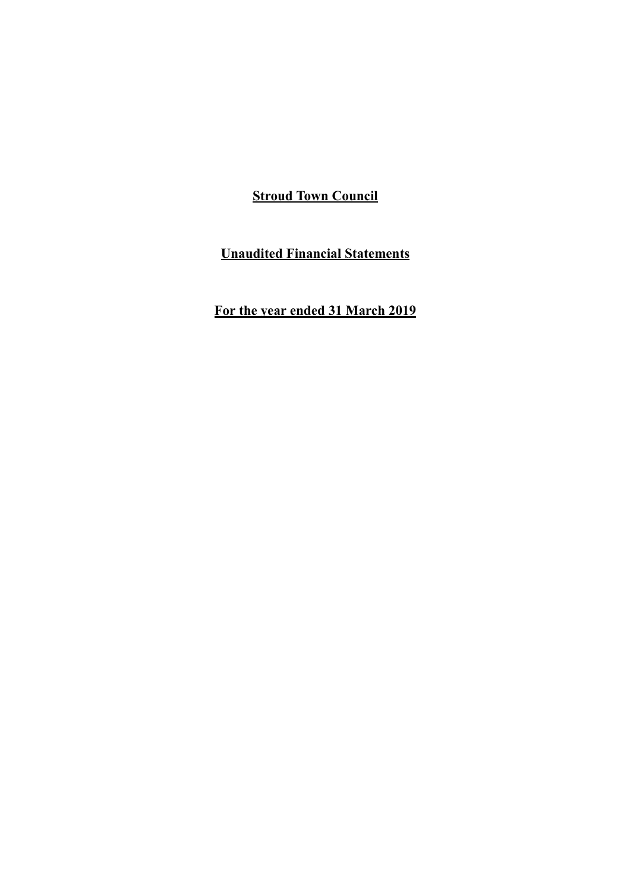**Unaudited Financial Statements**

**For the year ended 31 March 2019**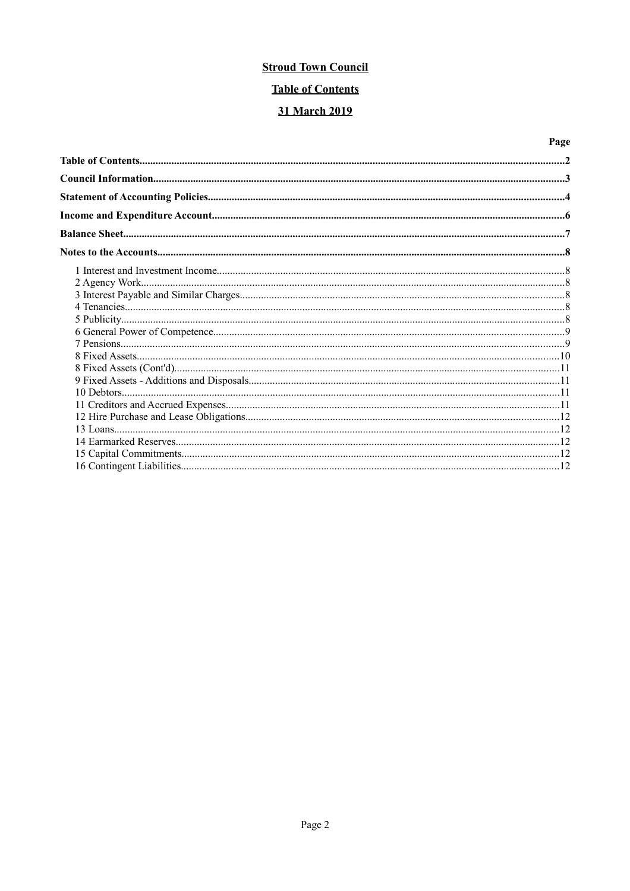# **Table of Contents**

## 31 March 2019

# Page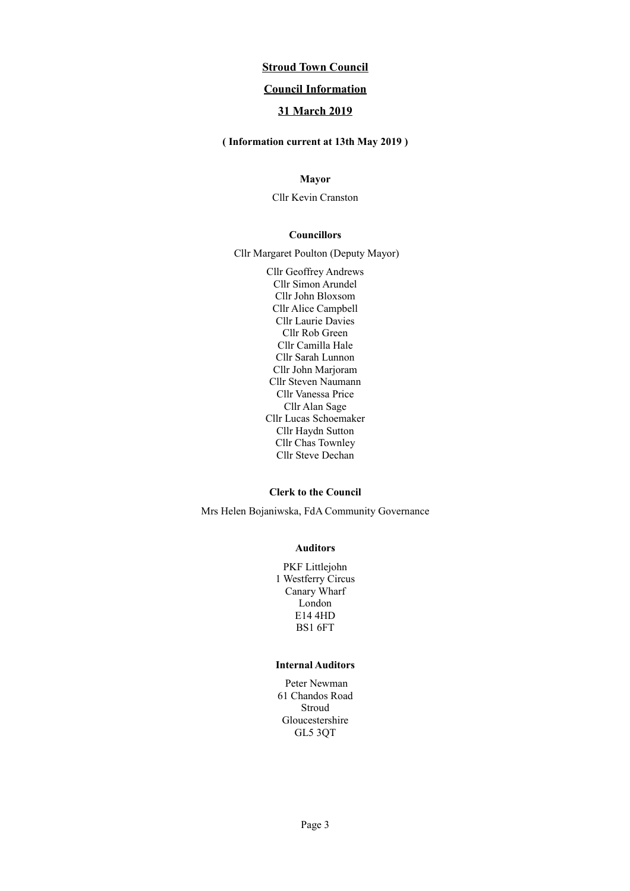### **Council Information**

## **31 March 2019**

## **( Information current at 13th May 2019 )**

### **Mayor**

Cllr Kevin Cranston

#### **Councillors**

Cllr Margaret Poulton (Deputy Mayor)

Cllr Geoffrey Andrews Cllr Simon Arundel Cllr John Bloxsom Cllr Alice Campbell Cllr Laurie Davies Cllr Rob Green Cllr Camilla Hale Cllr Sarah Lunnon Cllr John Marjoram Cllr Steven Naumann Cllr Vanessa Price Cllr Alan Sage Cllr Lucas Schoemaker Cllr Haydn Sutton Cllr Chas Townley Cllr Steve Dechan

#### **Clerk to the Council**

Mrs Helen Bojaniwska, FdA Community Governance

#### **Auditors**

PKF Littlejohn 1 Westferry Circus Canary Wharf London E14 4HD BS1 6FT

### **Internal Auditors**

Peter Newman 61 Chandos Road Stroud Gloucestershire GL5 3QT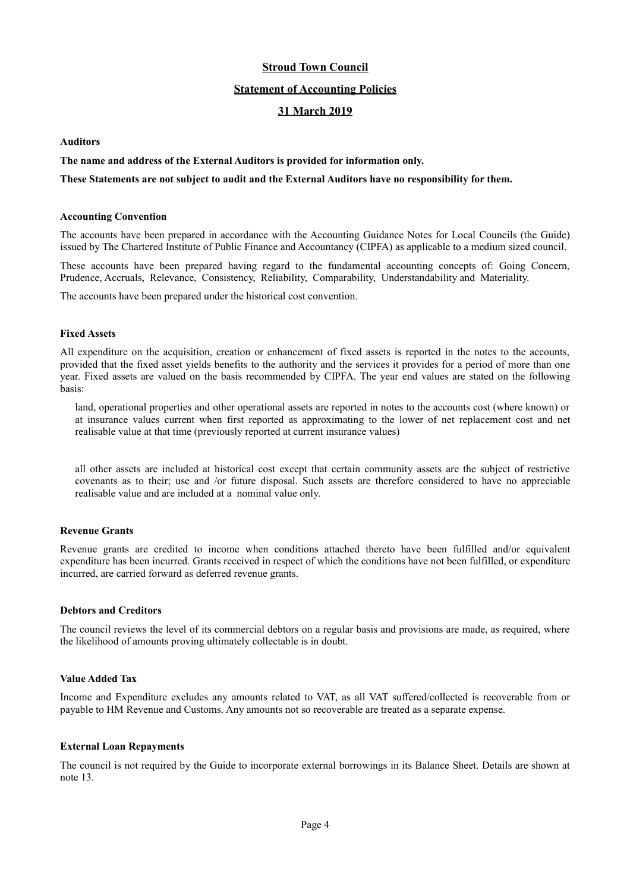### **Statement of Accounting Policies**

### **31 March 2019**

### **Auditors**

### **The name and address of the External Auditors is provided for information only.**

### **These Statements are not subject to audit and the External Auditors have no responsibility for them.**

#### **Accounting Convention**

The accounts have been prepared in accordance with the Accounting Guidance Notes for Local Councils (the Guide) issued by The Chartered Institute of Public Finance and Accountancy (CIPFA) as applicable to a medium sized council.

These accounts have been prepared having regard to the fundamental accounting concepts of: Going Concern, Prudence, Accruals, Relevance, Consistency, Reliability, Comparability, Understandability and Materiality.

The accounts have been prepared under the historical cost convention.

### **Fixed Assets**

All expenditure on the acquisition, creation or enhancement of fixed assets is reported in the notes to the accounts, provided that the fixed asset yields benefits to the authority and the services it provides for a period of more than one year. Fixed assets are valued on the basis recommended by CIPFA. The year end values are stated on the following basis:

land, operational properties and other operational assets are reported in notes to the accounts cost (where known) or at insurance values current when first reported as approximating to the lower of net replacement cost and net realisable value at that time (previously reported at current insurance values)

all other assets are included at historical cost except that certain community assets are the subject of restrictive covenants as to their; use and /or future disposal. Such assets are therefore considered to have no appreciable realisable value and are included at a nominal value only.

#### **Revenue Grants**

Revenue grants are credited to income when conditions attached thereto have been fulfilled and/or equivalent expenditure has been incurred. Grants received in respect of which the conditions have not been fulfilled, or expenditure incurred, are carried forward as deferred revenue grants.

### **Debtors and Creditors**

The council reviews the level of its commercial debtors on a regular basis and provisions are made, as required, where the likelihood of amounts proving ultimately collectable is in doubt.

#### **Value Added Tax**

Income and Expenditure excludes any amounts related to VAT, as all VAT suffered/collected is recoverable from or payable to HM Revenue and Customs. Any amounts not so recoverable are treated as a separate expense.

#### **External Loan Repayments**

The council is not required by the Guide to incorporate external borrowings in its Balance Sheet. Details are shown at note 13.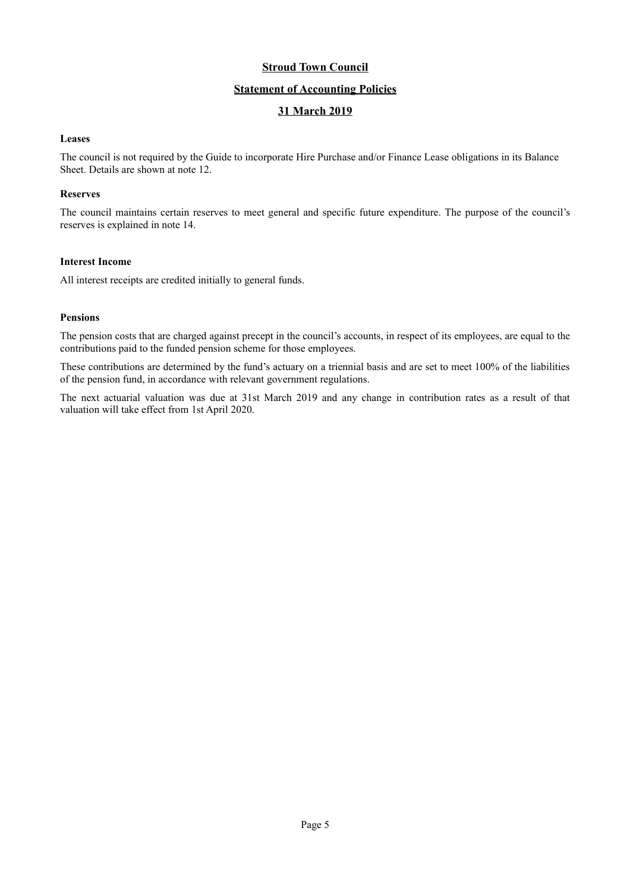### **Statement of Accounting Policies**

## **31 March 2019**

### **Leases**

The council is not required by the Guide to incorporate Hire Purchase and/or Finance Lease obligations in its Balance Sheet. Details are shown at note 12.

### **Reserves**

The council maintains certain reserves to meet general and specific future expenditure. The purpose of the council's reserves is explained in note 14.

### **Interest Income**

All interest receipts are credited initially to general funds.

### **Pensions**

The pension costs that are charged against precept in the council's accounts, in respect of its employees, are equal to the contributions paid to the funded pension scheme for those employees.

These contributions are determined by the fund's actuary on a triennial basis and are set to meet 100% of the liabilities of the pension fund, in accordance with relevant government regulations.

The next actuarial valuation was due at 31st March 2019 and any change in contribution rates as a result of that valuation will take effect from 1st April 2020.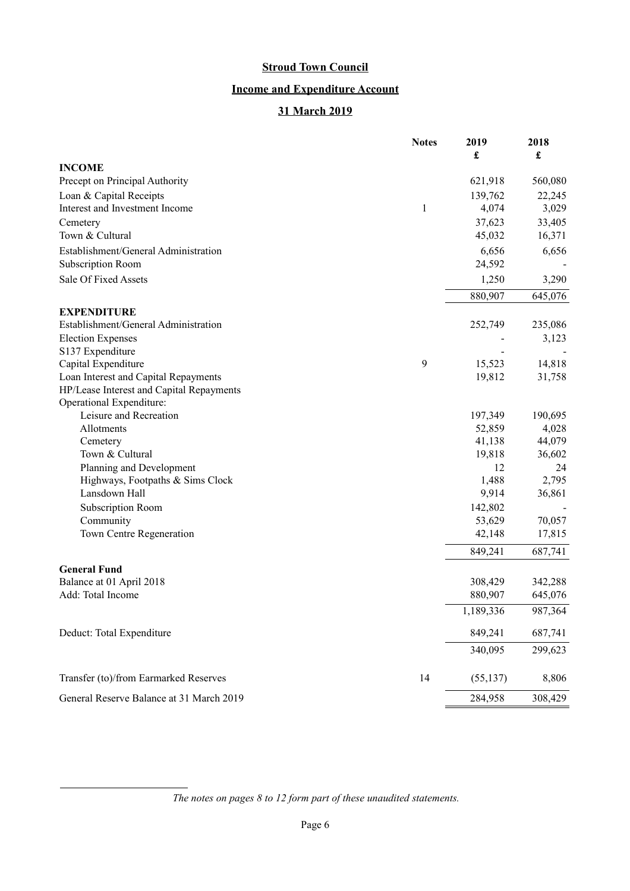# **Income and Expenditure Account**

# **31 March 2019**

|                                                   | <b>Notes</b> | 2019<br>£      | 2018<br>£ |
|---------------------------------------------------|--------------|----------------|-----------|
| <b>INCOME</b>                                     |              |                |           |
| Precept on Principal Authority                    |              | 621,918        | 560,080   |
| Loan & Capital Receipts                           |              | 139,762        | 22,245    |
| Interest and Investment Income                    | 1            | 4,074          | 3,029     |
| Cemetery                                          |              | 37,623         | 33,405    |
| Town & Cultural                                   |              | 45,032         | 16,371    |
| Establishment/General Administration              |              | 6,656          | 6,656     |
| Subscription Room                                 |              | 24,592         |           |
| Sale Of Fixed Assets                              |              |                |           |
|                                                   |              | 1,250          | 3,290     |
|                                                   |              | 880,907        | 645,076   |
| <b>EXPENDITURE</b>                                |              |                |           |
| Establishment/General Administration              |              | 252,749        | 235,086   |
| <b>Election Expenses</b>                          |              |                | 3,123     |
| S137 Expenditure                                  |              |                |           |
| Capital Expenditure                               | 9            | 15,523         | 14,818    |
| Loan Interest and Capital Repayments              |              | 19,812         | 31,758    |
| HP/Lease Interest and Capital Repayments          |              |                |           |
| Operational Expenditure:                          |              |                |           |
| Leisure and Recreation                            |              | 197,349        | 190,695   |
| Allotments                                        |              | 52,859         | 4,028     |
| Cemetery                                          |              | 41,138         | 44,079    |
| Town & Cultural                                   |              | 19,818         | 36,602    |
| Planning and Development                          |              | 12             | 24        |
| Highways, Footpaths & Sims Clock<br>Lansdown Hall |              | 1,488<br>9,914 | 2,795     |
|                                                   |              |                | 36,861    |
| Subscription Room                                 |              | 142,802        |           |
| Community                                         |              | 53,629         | 70,057    |
| Town Centre Regeneration                          |              | 42,148         | 17,815    |
|                                                   |              | 849,241        | 687,741   |
| <b>General Fund</b>                               |              |                |           |
| Balance at 01 April 2018                          |              | 308,429        | 342,288   |
| Add: Total Income                                 |              | 880,907        | 645,076   |
|                                                   |              | 1,189,336      | 987,364   |
| Deduct: Total Expenditure                         |              | 849,241        | 687,741   |
|                                                   |              | 340,095        | 299,623   |
| Transfer (to)/from Earmarked Reserves             | 14           | (55, 137)      | 8,806     |
| General Reserve Balance at 31 March 2019          |              | 284,958        | 308,429   |

*The notes on pages [8](#page-7-0) to [12](#page-11-0) form part of these unaudited statements.*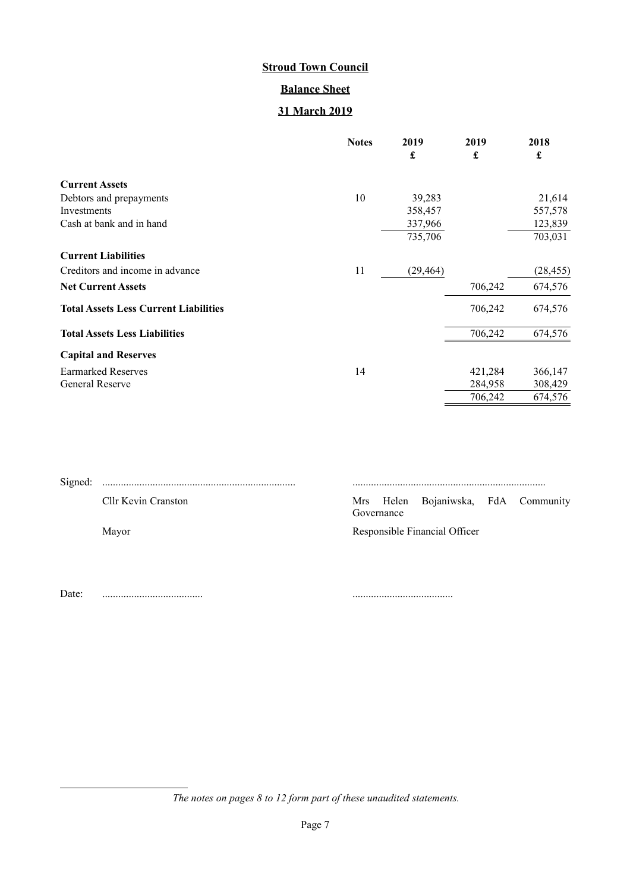# **Balance Sheet**

# **31 March 2019**

|                                              | <b>Notes</b> | 2019      | 2019    | 2018      |
|----------------------------------------------|--------------|-----------|---------|-----------|
|                                              |              | £         | £       | £         |
| <b>Current Assets</b>                        |              |           |         |           |
| Debtors and prepayments                      | 10           | 39,283    |         | 21,614    |
| Investments                                  |              | 358,457   |         | 557,578   |
| Cash at bank and in hand                     |              | 337,966   |         | 123,839   |
|                                              |              | 735,706   |         | 703,031   |
| <b>Current Liabilities</b>                   |              |           |         |           |
| Creditors and income in advance              | 11           | (29, 464) |         | (28, 455) |
| <b>Net Current Assets</b>                    |              |           | 706,242 | 674,576   |
| <b>Total Assets Less Current Liabilities</b> |              |           | 706,242 | 674,576   |
| <b>Total Assets Less Liabilities</b>         |              |           | 706,242 | 674,576   |
| <b>Capital and Reserves</b>                  |              |           |         |           |
| <b>Earmarked Reserves</b>                    | 14           |           | 421,284 | 366,147   |
| General Reserve                              |              |           | 284,958 | 308,429   |
|                                              |              |           | 706,242 | 674,576   |

| Signed: |                     |            |                                     |  |
|---------|---------------------|------------|-------------------------------------|--|
|         | Cllr Kevin Cranston | Governance | Mrs Helen Bojaniwska, FdA Community |  |
|         | Mayor               |            | Responsible Financial Officer       |  |
|         |                     |            |                                     |  |

Date: ...................................... ......................................

*The notes on pages [8](#page-7-0) to [12](#page-11-0) form part of these unaudited statements.*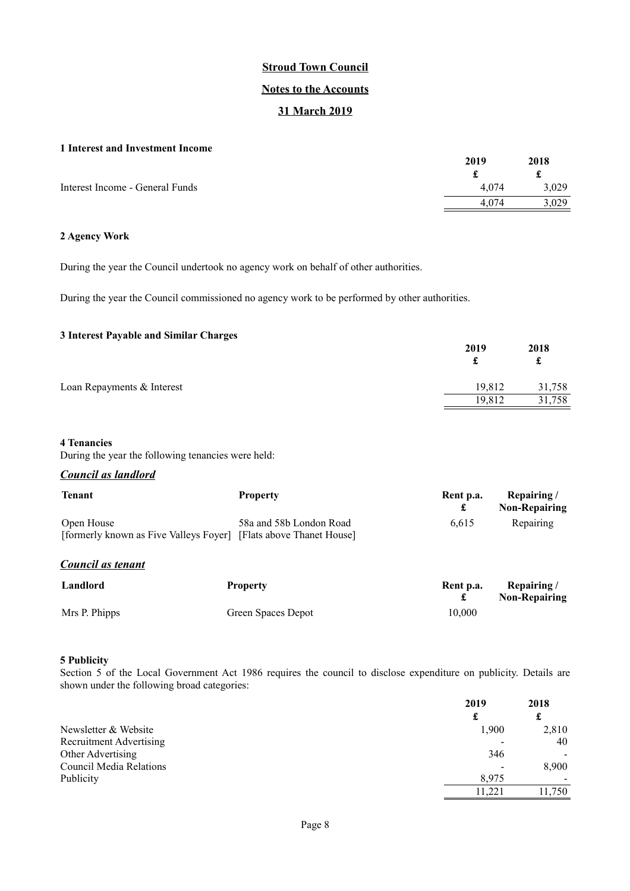### **Notes to the Accounts**

## **31 March 2019**

### <span id="page-7-0"></span>**1 Interest and Investment Income**

|                                 | 2019  | 2018  |
|---------------------------------|-------|-------|
|                                 |       |       |
| Interest Income - General Funds | 4.074 | 3,029 |
|                                 | 4.074 | 3.029 |
|                                 |       |       |

### **2 Agency Work**

During the year the Council undertook no agency work on behalf of other authorities.

During the year the Council commissioned no agency work to be performed by other authorities.

### **3 Interest Payable and Similar Charges**

|                            | 2019   | 2018<br>£ |
|----------------------------|--------|-----------|
| Loan Repayments & Interest | 19,812 | 31,758    |
|                            | 19,812 | 31,758    |

#### **4 Tenancies**

During the year the following tenancies were held:

### *Council as landlord*

| <b>Tenant</b>     | <b>Property</b>                                                                              | Rent p.a. | Repairing/<br><b>Non-Repairing</b> |
|-------------------|----------------------------------------------------------------------------------------------|-----------|------------------------------------|
| Open House        | 58a and 58b London Road<br>[formerly known as Five Valleys Foyer] [Flats above Thanet House] | 6,615     | Repairing                          |
| Council as tenant |                                                                                              |           |                                    |
| Landlord          | <b>Property</b>                                                                              | Rent p.a. | Repairing/<br><b>Non-Repairing</b> |
| Mrs P. Phipps     | Green Spaces Depot                                                                           | 10.000    |                                    |

### **5 Publicity**

Section 5 of the Local Government Act 1986 requires the council to disclose expenditure on publicity. Details are shown under the following broad categories:

|                         | 2019   | 2018  |
|-------------------------|--------|-------|
|                         |        | £     |
| Newsletter & Website    | 1.900  | 2,810 |
| Recruitment Advertising |        | 40    |
| Other Advertising       | 346    |       |
| Council Media Relations |        | 8,900 |
| Publicity               | 8,975  |       |
|                         | 11.221 | 1.750 |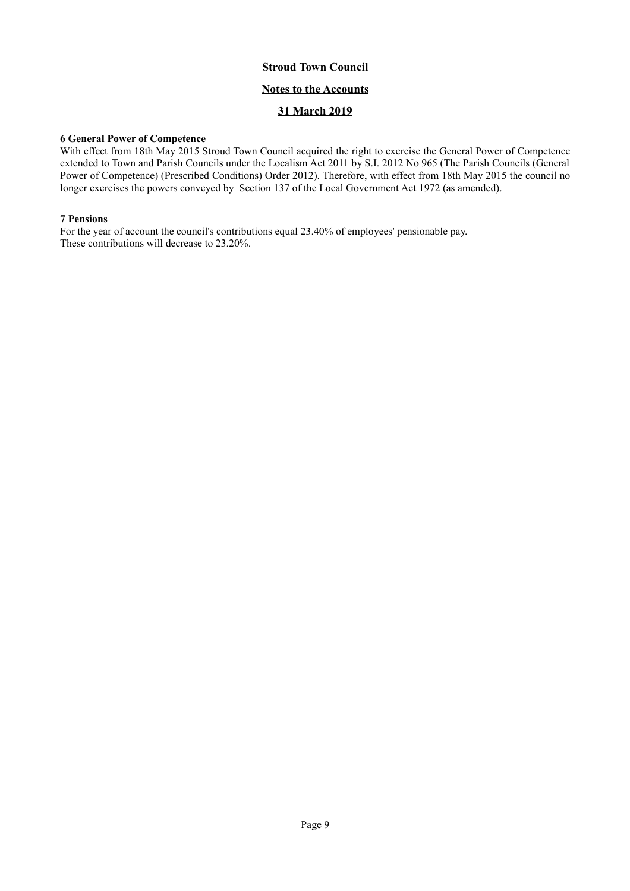## **Notes to the Accounts**

## **31 March 2019**

### **6 General Power of Competence**

With effect from 18th May 2015 Stroud Town Council acquired the right to exercise the General Power of Competence extended to Town and Parish Councils under the Localism Act 2011 by S.I. 2012 No 965 (The Parish Councils (General Power of Competence) (Prescribed Conditions) Order 2012). Therefore, with effect from 18th May 2015 the council no longer exercises the powers conveyed by Section 137 of the Local Government Act 1972 (as amended).

### **7 Pensions**

For the year of account the council's contributions equal 23.40% of employees' pensionable pay. These contributions will decrease to 23.20%.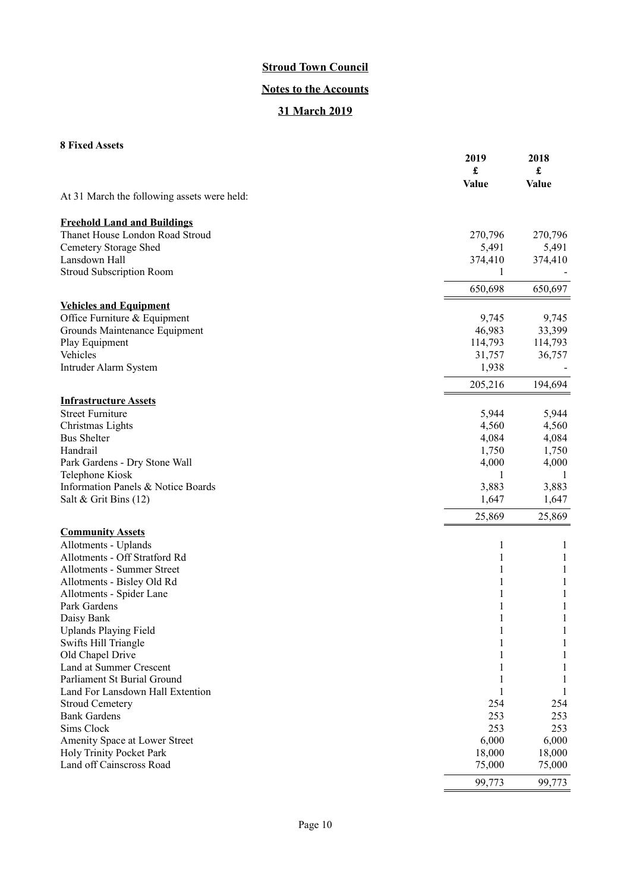# **Notes to the Accounts**

## **31 March 2019**

## **8 Fixed Assets**

| о гілси Азэсіз                                          | 2019<br>£ | 2018<br>$\pmb{\mathfrak{L}}$ |
|---------------------------------------------------------|-----------|------------------------------|
|                                                         | Value     | <b>Value</b>                 |
| At 31 March the following assets were held:             |           |                              |
| <b>Freehold Land and Buildings</b>                      |           |                              |
| Thanet House London Road Stroud                         | 270,796   | 270,796                      |
| Cemetery Storage Shed                                   | 5,491     | 5,491                        |
| Lansdown Hall                                           | 374,410   | 374,410                      |
| <b>Stroud Subscription Room</b>                         | 1         |                              |
|                                                         | 650,698   | 650,697                      |
| <b>Vehicles and Equipment</b>                           |           |                              |
| Office Furniture & Equipment                            | 9,745     | 9,745                        |
| Grounds Maintenance Equipment                           | 46,983    | 33,399                       |
| Play Equipment                                          | 114,793   | 114,793                      |
| Vehicles                                                | 31,757    | 36,757                       |
| Intruder Alarm System                                   | 1,938     |                              |
|                                                         | 205,216   | 194,694                      |
| <b>Infrastructure Assets</b><br><b>Street Furniture</b> | 5,944     | 5,944                        |
| Christmas Lights                                        | 4,560     | 4,560                        |
| <b>Bus Shelter</b>                                      | 4,084     | 4,084                        |
| Handrail                                                | 1,750     | 1,750                        |
| Park Gardens - Dry Stone Wall                           | 4,000     | 4,000                        |
| Telephone Kiosk                                         | 1         | -1                           |
| Information Panels & Notice Boards                      | 3,883     | 3,883                        |
| Salt & Grit Bins (12)                                   | 1,647     | 1,647                        |
|                                                         | 25,869    | 25,869                       |
| <b>Community Assets</b>                                 |           |                              |
| Allotments - Uplands                                    | 1         | 1                            |
| Allotments - Off Stratford Rd                           | 1         | $\mathbf{1}$                 |
| Allotments - Summer Street                              | 1         | $\mathbf{1}$                 |
| Allotments - Bisley Old Rd                              |           | 1                            |
| Allotments - Spider Lane<br>Park Gardens                | 1         | 1<br>1                       |
| Daisy Bank                                              |           |                              |
| <b>Uplands Playing Field</b>                            |           |                              |
| Swifts Hill Triangle                                    |           |                              |
| Old Chapel Drive                                        |           |                              |
| Land at Summer Crescent                                 |           |                              |
| Parliament St Burial Ground                             |           |                              |
| Land For Lansdown Hall Extention                        |           | 1                            |
| <b>Stroud Cemetery</b>                                  | 254       | 254                          |
| <b>Bank Gardens</b>                                     | 253       | 253                          |
| Sims Clock                                              | 253       | 253                          |
| Amenity Space at Lower Street                           | 6,000     | 6,000                        |
| Holy Trinity Pocket Park                                | 18,000    | 18,000                       |
| Land off Cainscross Road                                | 75,000    | 75,000                       |
|                                                         | 99,773    | 99,773                       |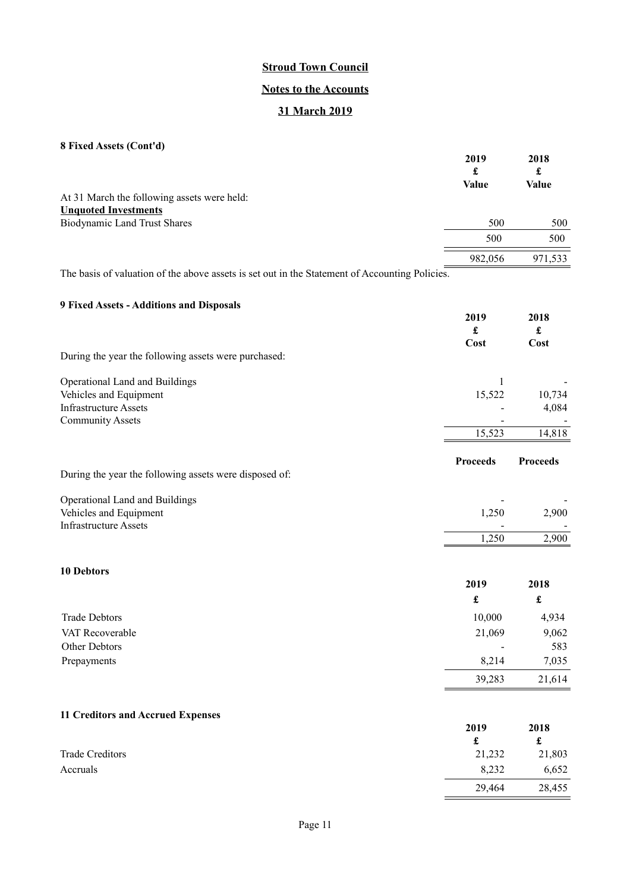## **Notes to the Accounts**

# **31 March 2019**

|  |  |  | 8 Fixed Assets (Cont'd) |  |
|--|--|--|-------------------------|--|
|--|--|--|-------------------------|--|

|                                                                                                 | 2019<br>£    | 2018<br>£ |
|-------------------------------------------------------------------------------------------------|--------------|-----------|
|                                                                                                 | <b>Value</b> | Value     |
| At 31 March the following assets were held:                                                     |              |           |
| <b>Unquoted Investments</b>                                                                     |              |           |
| <b>Biodynamic Land Trust Shares</b>                                                             | 500          | 500       |
|                                                                                                 | 500          | 500       |
|                                                                                                 | 982,056      | 971,533   |
| The leads of coloration of the shores contacts and outlined a fluid one of Association Deltates |              |           |

The basis of valuation of the above assets is set out in the Statement of Accounting Policies.

## **9 Fixed Assets - Additions and Disposals**

|                                                        | 2019<br>£<br>Cost | 2018<br>£<br>Cost    |
|--------------------------------------------------------|-------------------|----------------------|
| During the year the following assets were purchased:   |                   |                      |
| Operational Land and Buildings                         | 1                 |                      |
| Vehicles and Equipment                                 | 15,522            | 10,734               |
| <b>Infrastructure Assets</b>                           |                   | 4,084                |
| <b>Community Assets</b>                                |                   |                      |
|                                                        | 15,523            | 14,818               |
|                                                        | <b>Proceeds</b>   | <b>Proceeds</b>      |
| During the year the following assets were disposed of: |                   |                      |
| Operational Land and Buildings                         |                   |                      |
| Vehicles and Equipment                                 | 1,250             | 2,900                |
| <b>Infrastructure Assets</b>                           |                   |                      |
|                                                        | 1,250             | 2,900                |
| <b>10 Debtors</b>                                      |                   |                      |
|                                                        | 2019              | 2018                 |
|                                                        | £                 | $\pmb{\mathfrak{L}}$ |
| <b>Trade Debtors</b>                                   | 10,000            | 4,934                |
| VAT Recoverable                                        | 21,069            | 9,062                |
| Other Debtors                                          |                   | 583                  |

|                | 39,283 | 21,614 |
|----------------|--------|--------|
| Prepayments    | 8,214  | 7,035  |
| -------------- |        | ---    |

29,464

# **11 Creditors and Accrued Expenses**

|                        | 2019<br>£ | 2018<br>£ |
|------------------------|-----------|-----------|
| <b>Trade Creditors</b> | 21,232    | 21,803    |
| Accruals               | 8,232     | 6,652     |
|                        | 29,464    | 28,455    |